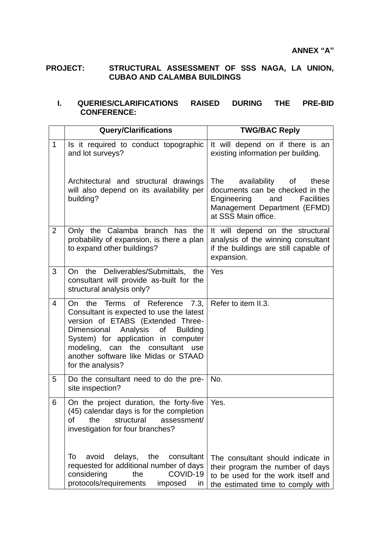## **PROJECT: STRUCTURAL ASSESSMENT OF SSS NAGA, LA UNION, CUBAO AND CALAMBA BUILDINGS**

## **I. QUERIES/CLARIFICATIONS RAISED DURING THE PRE-BID CONFERENCE:**

|                | <b>Query/Clarifications</b>                                                                                                                                                                                                                                                                 | <b>TWG/BAC Reply</b>                                                                                                                                                        |  |
|----------------|---------------------------------------------------------------------------------------------------------------------------------------------------------------------------------------------------------------------------------------------------------------------------------------------|-----------------------------------------------------------------------------------------------------------------------------------------------------------------------------|--|
| $\mathbf 1$    | Is it required to conduct topographic<br>and lot surveys?                                                                                                                                                                                                                                   | It will depend on if there is an<br>existing information per building.                                                                                                      |  |
|                | Architectural and structural drawings<br>will also depend on its availability per<br>building?                                                                                                                                                                                              | availability of<br><b>The</b><br>these<br>documents can be checked in the<br>Engineering<br><b>Facilities</b><br>and<br>Management Department (EFMD)<br>at SSS Main office. |  |
| $\overline{2}$ | Only the Calamba branch has the<br>probability of expansion, is there a plan<br>to expand other buildings?                                                                                                                                                                                  | It will depend on the structural<br>analysis of the winning consultant<br>if the buildings are still capable of<br>expansion.                                               |  |
| 3              | On the Deliverables/Submittals, the<br>consultant will provide as-built for the<br>structural analysis only?                                                                                                                                                                                | Yes                                                                                                                                                                         |  |
| $\overline{4}$ | On the Terms of Reference 7.3,<br>Consultant is expected to use the latest<br>version of ETABS (Extended Three-<br>Dimensional Analysis of Building<br>System) for application in computer<br>modeling, can the consultant use<br>another software like Midas or STAAD<br>for the analysis? | Refer to item II.3.                                                                                                                                                         |  |
| 5              | Do the consultant need to do the pre-<br>site inspection?                                                                                                                                                                                                                                   | No.                                                                                                                                                                         |  |
| 6              | On the project duration, the forty-five<br>(45) calendar days is for the completion<br>structural<br>assessment/<br>οf<br>the<br>investigation for four branches?                                                                                                                           | Yes.                                                                                                                                                                        |  |
|                | delays,<br>the<br>To<br>avoid<br>consultant<br>requested for additional number of days<br>considering<br>COVID-19<br>the<br>protocols/requirements<br>imposed<br><i>in</i>                                                                                                                  | The consultant should indicate in<br>their program the number of days<br>to be used for the work itself and<br>the estimated time to comply with                            |  |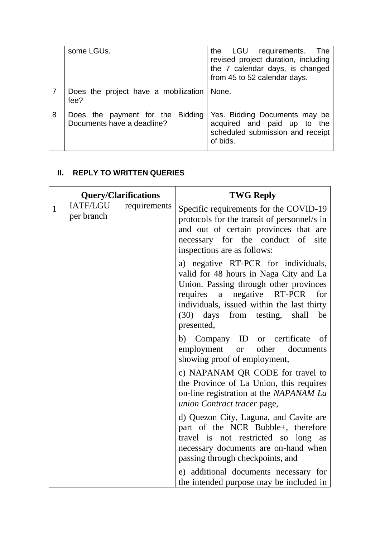|   | some LGUs.                                                     | the LGU requirements. The<br>revised project duration, including<br>the 7 calendar days, is changed<br>from 45 to 52 calendar days. |
|---|----------------------------------------------------------------|-------------------------------------------------------------------------------------------------------------------------------------|
|   | Does the project have a mobilization   None.<br>fee?           |                                                                                                                                     |
| 8 | Does the payment for the Bidding<br>Documents have a deadline? | Yes. Bidding Documents may be<br>acquired and paid up to the<br>scheduled submission and receipt<br>of bids.                        |

## **II. REPLY TO WRITTEN QUERIES**

|              |                        | <b>Query/Clarifications</b> | <b>TWG Reply</b>                                                                                                                                                                                                                                                         |
|--------------|------------------------|-----------------------------|--------------------------------------------------------------------------------------------------------------------------------------------------------------------------------------------------------------------------------------------------------------------------|
| $\mathbf{1}$ | IATF/LGU<br>per branch | requirements                | Specific requirements for the COVID-19<br>protocols for the transit of personnel/s in<br>and out of certain provinces that are<br>necessary for the conduct of<br>site<br>inspections are as follows:                                                                    |
|              |                        |                             | a) negative RT-PCR for individuals,<br>valid for 48 hours in Naga City and La<br>Union. Passing through other provinces<br>requires a negative RT-PCR<br>for<br>individuals, issued within the last thirty<br>days<br>from testing,<br>be<br>(30)<br>shall<br>presented, |
|              |                        |                             | b) Company ID or certificate<br><sub>of</sub><br>employment or<br>other<br>documents<br>showing proof of employment,                                                                                                                                                     |
|              |                        |                             | c) NAPANAM QR CODE for travel to<br>the Province of La Union, this requires<br>on-line registration at the NAPANAM La<br>union Contract tracer page,                                                                                                                     |
|              |                        |                             | d) Quezon City, Laguna, and Cavite are<br>part of the NCR Bubble+, therefore<br>travel is not restricted so long as<br>necessary documents are on-hand when<br>passing through checkpoints, and                                                                          |
|              |                        |                             | e) additional documents necessary for<br>the intended purpose may be included in                                                                                                                                                                                         |